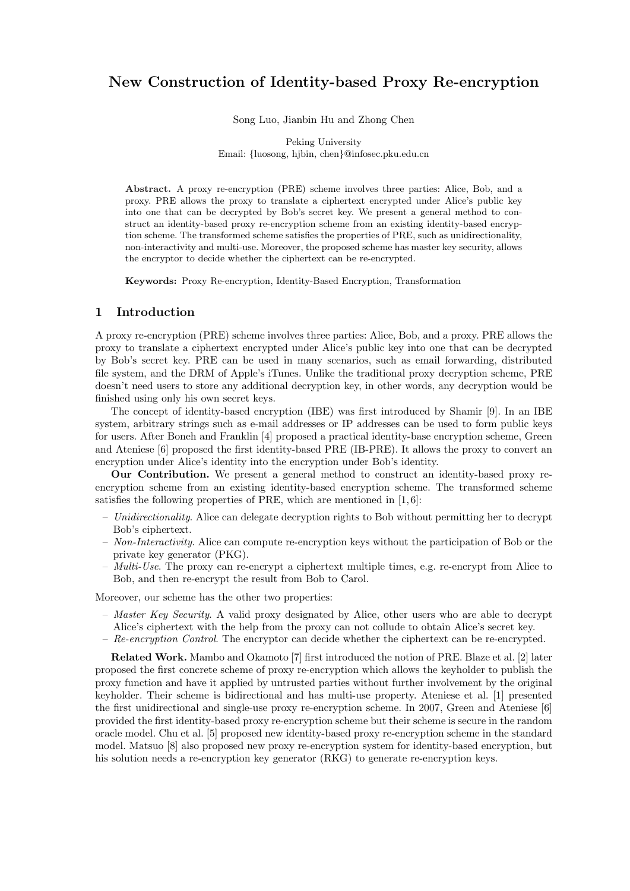# New Construction of Identity-based Proxy Re-encryption

Song Luo, Jianbin Hu and Zhong Chen

Peking University Email: {luosong, hjbin, chen}@infosec.pku.edu.cn

Abstract. A proxy re-encryption (PRE) scheme involves three parties: Alice, Bob, and a proxy. PRE allows the proxy to translate a ciphertext encrypted under Alice's public key into one that can be decrypted by Bob's secret key. We present a general method to construct an identity-based proxy re-encryption scheme from an existing identity-based encryption scheme. The transformed scheme satisfies the properties of PRE, such as unidirectionality, non-interactivity and multi-use. Moreover, the proposed scheme has master key security, allows the encryptor to decide whether the ciphertext can be re-encrypted.

Keywords: Proxy Re-encryption, Identity-Based Encryption, Transformation

#### 1 Introduction

A proxy re-encryption (PRE) scheme involves three parties: Alice, Bob, and a proxy. PRE allows the proxy to translate a ciphertext encrypted under Alice's public key into one that can be decrypted by Bob's secret key. PRE can be used in many scenarios, such as email forwarding, distributed file system, and the DRM of Apple's iTunes. Unlike the traditional proxy decryption scheme, PRE doesn't need users to store any additional decryption key, in other words, any decryption would be finished using only his own secret keys.

The concept of identity-based encryption (IBE) was first introduced by Shamir [9]. In an IBE system, arbitrary strings such as e-mail addresses or IP addresses can be used to form public keys for users. After Boneh and Franklin [4] proposed a practical identity-base encryption scheme, Green and Ateniese [6] proposed the first identity-based PRE (IB-PRE). It allows the proxy to convert an encryption under Alice's identity into the encryption under Bob's identity.

Our Contribution. We present a general method to construct an identity-based proxy reencryption scheme from an existin[g i](#page-5-0)dentity-based encryption scheme. The transformed scheme satisfies the f[ollo](#page-5-0)wing properties of PRE, which are mentioned in  $[1, 6]$ :

- Unidirectionality. Alice can delegate decryption rights to Bob without permitting her to decrypt Bob's ciphertext.
- Non-Interactivity. Alice can compute re-encryption keys without the participation of Bob or the private key generator (PKG).
- Multi-Use. The proxy can re-encrypt a ciphertext multiple times, e.g. re-encrypt from Alice to Bob, and then re-encrypt the result from Bob to Carol.

Moreover, our scheme has the other two properties:

- Master Key Security. A valid proxy designated by Alice, other users who are able to decrypt
- Alice's ciphertext with the help from the proxy can not collude to obtain Alice's secret key.
- Re-encryption Control. The encryptor can decide whether the ciphertext can be re-encrypted.

Related Work. Mambo and Okamoto [7] first introduced the notion of PRE. Blaze et al. [2] later proposed the first concrete scheme of proxy re-encryption which allows the keyholder to publish the proxy function and have it applied by untrusted parties without further involvement by the original keyholder. Their scheme is bidirectional and has multi-use property. Ateniese et al. [1] presented the first unidirectional and single-use prox[y](#page-5-0) re-encryption scheme. In 2007, Green and Ate[nie](#page-5-0)se [6] provided the first identity-based proxy re-encryption scheme but their scheme is secure in the random oracle model. Chu et al. [5] proposed new identity-based proxy re-encryption scheme in the standard model. Matsuo [8] also proposed new proxy re-encryption system for identity-based en[cry](#page-5-0)ption, but his solution needs a re-encryption key generator (RKG) to generate re-encryption keys.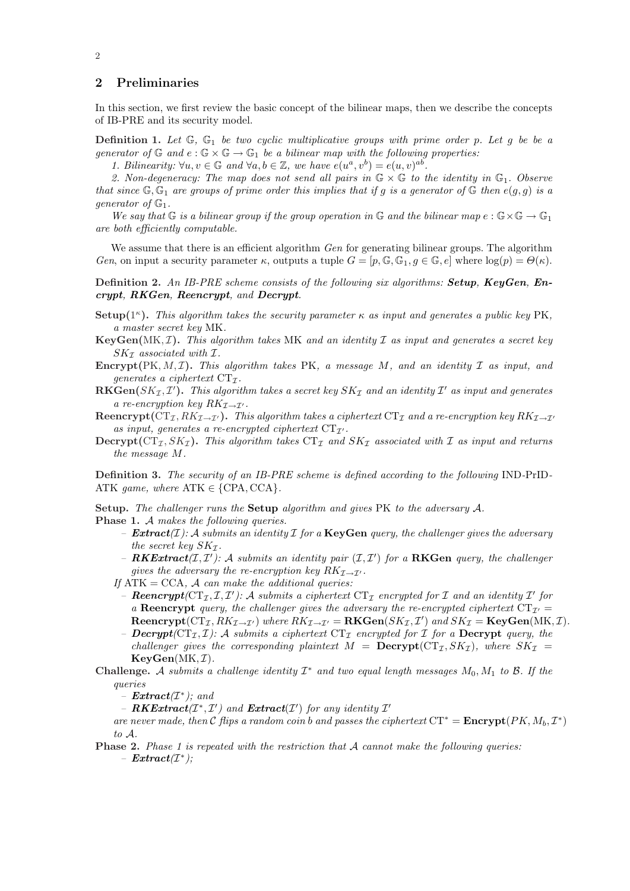# <span id="page-1-0"></span>2 Preliminaries

In this section, we first review the basic concept of the bilinear maps, then we describe the concepts of IB-PRE and its security model.

**Definition 1.** Let  $\mathbb{G}$ ,  $\mathbb{G}_1$  be two cyclic multiplicative groups with prime order p. Let g be be a generator of  $\mathbb{G}$  and  $e : \mathbb{G} \times \mathbb{G} \to \mathbb{G}$  be a bilinear map with the following properties:

1. Bilinearity:  $\forall u, v \in \mathbb{G}$  and  $\forall a, b \in \mathbb{Z}$ , we have  $e(u^a, v^b) = e(u, v)^{ab}$ .

2. Non-degeneracy: The map does not send all pairs in  $\mathbb{G} \times \mathbb{G}$  to the identity in  $\mathbb{G}_1$ . Observe that since  $\mathbb{G}, \mathbb{G}_1$  are groups of prime order this implies that if g is a generator of  $\mathbb{G}$  then  $e(g, g)$  is a *generator* of  $\mathbb{G}_1$ .

We say that G is a bilinear group if the group operation in G and the bilinear map  $e : \mathbb{G} \times \mathbb{G} \to \mathbb{G}_1$ are both efficiently computable.

We assume that there is an efficient algorithm  $Gen$  for generating bilinear groups. The algorithm Gen, on input a security parameter  $\kappa$ , outputs a tuple  $G = [p, \mathbb{G}, \mathbb{G}_1, g \in \mathbb{G}, e]$  where  $log(p) = \Theta(\kappa)$ .

Definition 2. An IB-PRE scheme consists of the following six algorithms: Setup, KeyGen, Encrypt, RKGen, Reencrypt, and Decrypt.

- Setup( $1^{\kappa}$ ). This algorithm takes the security parameter  $\kappa$  as input and generates a public key PK, a master secret key MK.
- $KeyGen(MK, \mathcal{I})$ . This algorithm takes MK and an identity  $\mathcal I$  as input and generates a secret key  $SK_{\mathcal{I}}$  associated with  $\mathcal{I}.$
- Encrypt(PK,  $M, \mathcal{I}$ ). This algorithm takes PK, a message M, and an identity  $\mathcal I$  as input, and generates a ciphertext  $CT_{\mathcal{I}}$ .
- $\mathbf{RKGen}(SK_\mathcal{I},\mathcal{I}')$ . This algorithm takes a secret key  $SK_\mathcal{I}$  and an identity  $\mathcal{I}'$  as input and generates a re-encryption key  $RK_{\mathcal{I}\rightarrow\mathcal{I}'}$ .
- Reencrypt( $CT_{\mathcal{I}}, RK_{\mathcal{I}\to\mathcal{I}'})$ . This algorithm takes a ciphertext  $CT_{\mathcal{I}}$  and a re-encryption key  $RK_{\mathcal{I}\to\mathcal{I}'}$ as input, generates a re-encrypted ciphertext  $CT_{\mathcal{I}}$ .
- Decrypt( $CT_{\mathcal{I}}, SK_{\mathcal{I}}$ ). This algorithm takes  $CT_{\mathcal{I}}$  and  $SK_{\mathcal{I}}$  associated with  $\mathcal{I}$  as input and returns the message M.

Definition 3. The security of an IB-PRE scheme is defined according to the following IND-PrID-ATK game, where  $ATK \in \{CPA, CCA\}$ .

Setup. The challenger runs the Setup algorithm and gives PK to the adversary A. Phase 1. A makes the following queries.

- **Extract**( $I$ ): A submits an identity  $I$  for a **KeyGen** query, the challenger gives the adversary the secret key  $SK_{\mathcal{I}}$ .
- **RKExtract**( $I, I'$ ): A submits an identity pair ( $I, I'$ ) for a **RKGen** query, the challenger gives the adversary the re-encryption key  $RK_{\mathcal{I}\rightarrow\mathcal{I}}$ .
- If  $ATK = CCA$ , A can make the additional queries:
- **Reencrypt** ( $CT_{\mathcal{I}}, T, T'$ ): A submits a ciphertext  $CT_{\mathcal{I}}$  encrypted for  $T$  and an identity  $T'$  for a Reencrypt query, the challenger gives the adversary the re-encrypted ciphertext  $CT_{\mathcal{I}}$ Reencrypt( $CT_{\mathcal{I}}, RK_{\mathcal{I}\to\mathcal{I}'})$  where  $RK_{\mathcal{I}\to\mathcal{I}'} = \mathbf{RKGen}(SK_{\mathcal{I}},\mathcal{I}')$  and  $SK_{\mathcal{I}} = \mathbf{KeyGen}(MK,\mathcal{I})$ .
- Decrypt( $CT_{\mathcal{I}}, \mathcal{I}$ ): A submits a ciphertext  $CT_{\mathcal{I}}$  encrypted for  $\mathcal{I}$  for a Decrypt query, the challenger gives the corresponding plaintext  $M = \text{Decrypt}(CT_{\mathcal{I}}, SK_{\mathcal{I}})$ , where  $SK_{\mathcal{I}} =$  $KeyGen(MK, \mathcal{I}).$
- Challenge. A submits a challenge identity  $\mathcal{I}^*$  and two equal length messages  $M_0, M_1$  to  $\mathcal{B}$ . If the queries

 $-$  **Extract**( $\mathcal{I}^*$ ); and

- RKExtract( $I^*, I'$ ) and Extract( $I'$ ) for any identity  $I'$ 

are never made, then C flips a random coin b and passes the ciphertext  $CT^* =$  **Encrypt** $(PK, M_b, \mathcal{I}^*)$ to A.

**Phase 2.** Phase 1 is repeated with the restriction that  $\mathcal A$  cannot make the following queries:  $-$  Extract( $I^*$ );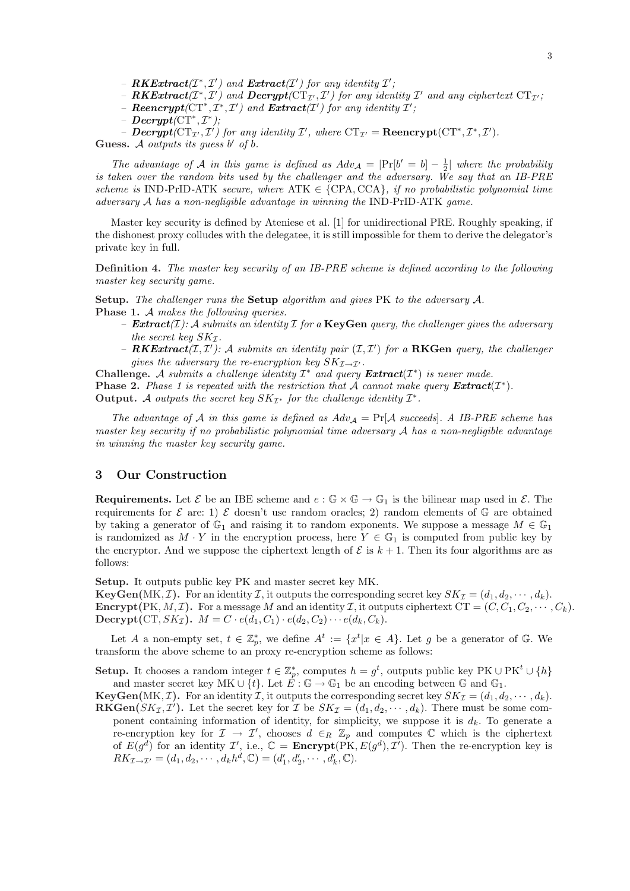- $-P$ **RKExtract** $(T^*,\mathcal{I}')$  and  $\boldsymbol{Decrypt}(\mathrm{CT}_{\mathcal{I}'},\mathcal{I}')$  for any identity  $\mathcal{I}'$  and any ciphertext  $\mathrm{CT}_{\mathcal{I}'}$ ;
- **Reencrypt**  $(CT^*, T^*, T')$  and  $Extract(T')$  for any identity  $T'$ ;
- $-\text{ Decrypt}(\text{CT}^*, \mathcal{I}^*)$ ;
- **Decrypt**( $CT_{\mathcal{I}'}, \mathcal{I}'$ ) for any identity  $\mathcal{I}'$ , where  $CT_{\mathcal{I}'} = \textbf{Re} \textbf{encrypt}(CT^*, \mathcal{I}^*, \mathcal{I}')$ .

Guess. A outputs its guess  $b'$  of  $b$ .

The advantage of A in this game is defined as  $Adv_{\mathcal{A}} = |\Pr[b' = b] - \frac{1}{2}|$  where the probability is taken over the random bits used by the challenger and the adversary. We say that an IB-PRE scheme is IND-PrID-ATK secure, where  $ATK \in \{CPA, CCA\}$ , if no probabilistic polynomial time adversary A has a non-negligible advantage in winning the IND-PrID-ATK game.

Master key security is defined by Ateniese et al. [1] for unidirectional PRE. Roughly speaking, if the dishonest proxy colludes with the delegatee, it is still impossible for them to derive the delegator's private key in full.

Definition 4. The master key security of an IB-P[RE](#page-5-0) scheme is defined according to the following master key security game.

Setup. The challenger runs the Setup algorithm and gives PK to the adversary A. Phase 1. A makes the following queries.

- **Extract**(*I*): A submits an identity *I* for a **KeyGen** query, the challenger gives the adversary the secret key  $SK_{\mathcal{I}}$ .
- **RKExtract**( $I, I'$ ): A submits an identity pair ( $I, I'$ ) for a **RKGen** query, the challenger gives the adversary the re-encryption key  $SK_{\mathcal{I}\rightarrow\mathcal{I}'}$ .

Challenge. A submits a challenge identity  $\mathcal{I}^*$  and query  $\textbf{Extract}(\mathcal{I}^*)$  is never made. **Phase 2.** Phase 1 is repeated with the restriction that A cannot make query  $\textbf{Extract}(\mathcal{I}^*)$ . Output. A outputs the secret key  $SK_{\mathcal{I}^*}$  for the challenge identity  $\mathcal{I}^*$ .

The advantage of A in this game is defined as  $Adv_{\mathcal{A}} = \Pr[\mathcal{A} \text{ succeeds}]$ . A IB-PRE scheme has master key security if no probabilistic polynomial time adversary A has a non-negligible advantage in winning the master key security game.

## 3 Our Construction

**Requirements.** Let  $\mathcal{E}$  be an IBE scheme and  $e : \mathbb{G} \times \mathbb{G} \to \mathbb{G}_1$  is the bilinear map used in  $\mathcal{E}$ . The requirements for  $\mathcal E$  are: 1)  $\mathcal E$  doesn't use random oracles; 2) random elements of  $\mathbb G$  are obtained by taking a generator of  $\mathbb{G}_1$  and raising it to random exponents. We suppose a message  $M \in \mathbb{G}_1$ is randomized as  $M \cdot Y$  in the encryption process, here  $Y \in \mathbb{G}_1$  is computed from public key by the encryptor. And we suppose the ciphertext length of  $\mathcal E$  is  $k+1$ . Then its four algorithms are as follows:

Setup. It outputs public key PK and master secret key MK.

**KeyGen**(MK, *I*). For an identity *I*, it outputs the corresponding secret key  $SK_{\mathcal{I}} = (d_1, d_2, \dots, d_k)$ . **Encrypt**(PK, M, I). For a message M and an identity I, it outputs ciphertext  $CT = (C, C_1, C_2, \dots, C_k)$ . Decrypt(CT,  $SK_{\mathcal{I}}$ ).  $M = C \cdot e(d_1, C_1) \cdot e(d_2, C_2) \cdots e(d_k, C_k)$ .

Let A a non-empty set,  $t \in \mathbb{Z}_p^*$ , we define  $A^t := \{x^t | x \in A\}$ . Let g be a generator of G. We transform the above scheme to an proxy re-encryption scheme as follows:

**Setup.** It chooses a random integer  $t \in \mathbb{Z}_p^*$ , computes  $h = g^t$ , outputs public key PK  $\cup$  PK<sup>t</sup>  $\cup$  {h} and master secret key MK ∪ {t}. Let  $\hat{E}$  :  $\mathbb{G} \to \mathbb{G}_1$  be an encoding between  $\mathbb{G}$  and  $\mathbb{G}_1$ .

**KeyGen**(MK, *I*). For an identity *I*, it outputs the corresponding secret key  $SK_{\mathcal{I}} = (d_1, d_2, \dots, d_k)$ . **RKGen**( $SK_{\mathcal{I}}, \mathcal{I}'$ ). Let the secret key for  $\mathcal{I}$  be  $SK_{\mathcal{I}} = (d_1, d_2, \cdots, d_k)$ . There must be some component containing information of identity, for simplicity, we suppose it is  $d_k$ . To generate a re-encryption key for  $\mathcal{I} \to \mathcal{I}'$ , chooses  $d \in_R \mathbb{Z}_p$  and computes  $\mathbb C$  which is the ciphertext of  $E(g^d)$  for an identity  $\mathcal{I}'$ , i.e.,  $\mathbb{C} =$  **Encrypt**(PK,  $E(g^d), \mathcal{I}'$ ). Then the re-encryption key is  $RK_{\mathcal{I}\to\mathcal{I}'}=(d_1, d_2, \cdots, d_kh^d, \mathbb{C})=(d'_1, d'_2, \cdots, d'_k, \mathbb{C}).$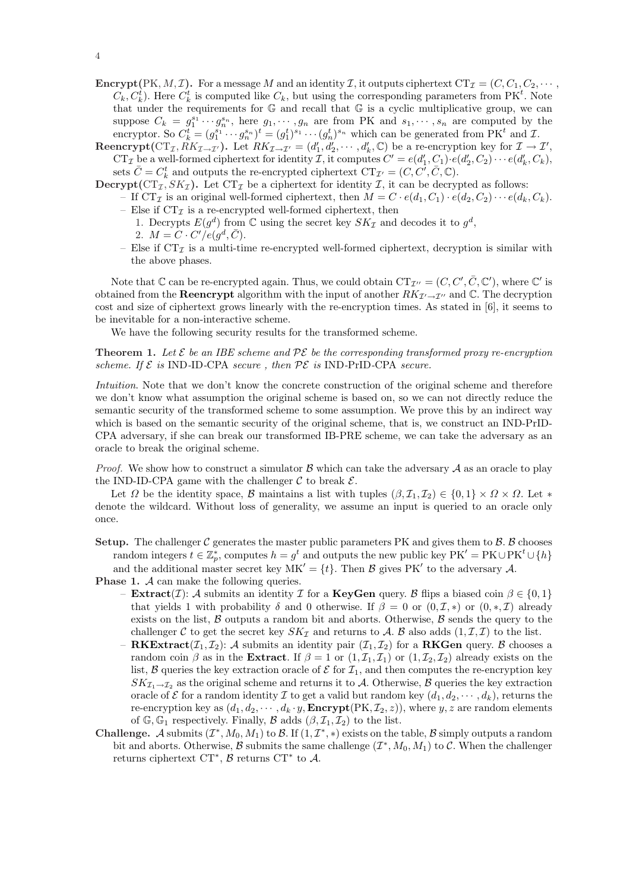- **Encrypt**(PK, M, I). For a message M and an identity I, it outputs ciphertext  $CT_{\mathcal{I}} = (C, C_1, C_2, \cdots, C_n)$  $C_k, C_k^t$ ). Here  $C_k^t$  is computed like  $C_k$ , but using the corresponding parameters from PK<sup>t</sup>. Note that under the requirements for  $\mathbb G$  and recall that  $\mathbb G$  is a cyclic multiplicative group, we can suppose  $C_k = g_1^{s_1} \cdots g_n^{s_n}$ , here  $g_1, \cdots, g_n$  are from PK and  $s_1, \cdots, s_n$  are computed by the encryptor. So  $C_k^t = (g_1^{s_1} \cdots g_n^{s_n})^t = (g_1^t)^{s_1} \cdots (g_n^t)^{s_n}$  which can be generated from PK<sup>t</sup> and *I*.
- Reencrypt( $CT_{\mathcal{I}}, \tilde{R}K_{\mathcal{I}\to\mathcal{I}'})$ . Let  $RK_{\mathcal{I}\to\mathcal{I}'}=(d'_1, d'_2, \cdots, d'_k, \mathbb{C})$  be a re-encryption key for  $\mathcal{I}\to\mathcal{I}'$ ,  $CT_{\mathcal{I}}$  be a well-formed ciphertext for identity  $\mathcal{I}$ , it computes  $C' = e(d'_1, C_1) \cdot e(d'_2, C_2) \cdots e(d'_k, C_k)$ , sets  $\bar{C} = C_k^t$  and outputs the re-encrypted ciphertext  $CT_{\mathcal{I}'} = (C, C', \bar{C}, \mathbb{C})$ .
- **Decrypt**( $CT_{\mathcal{I}}, SK_{\mathcal{I}}$ ). Let  $CT_{\mathcal{I}}$  be a ciphertext for identity  $\mathcal{I}$ , it can be decrypted as follows:
	- If CT<sub>I</sub> is an original well-formed ciphertext, then  $M = C \cdot e(d_1, C_1) \cdot e(d_2, C_2) \cdots e(d_k, C_k)$ . – Else if  $CT_{\mathcal{I}}$  is a re-encrypted well-formed ciphertext, then
		- 1. Decrypts  $E(g^d)$  from  $\mathbb C$  using the secret key  $SK_{\mathcal{I}}$  and decodes it to  $g^d$ , 2.  $M = C \cdot C'/e(g^d, \bar{C}).$
		- Else if  $CT_{\mathcal{I}}$  is a multi-time re-encrypted well-formed ciphertext, decryption is similar with the above phases.

Note that  $\mathbb C$  can be re-encrypted again. Thus, we could obtain  $CT_{\mathcal{I}''} = (C, C', \overline{C}, \mathbb C')$ , where  $\mathbb C'$  is obtained from the **Reencrypt** algorithm with the input of another  $RK_{\mathcal{I}'\rightarrow\mathcal{I}''}$  and C. The decryption cost and size of ciphertext grows linearly with the re-encryption times. As stated in [6], it seems to be inevitable for a non-interactive scheme.

We have the following security results for the transformed scheme.

**Theorem 1.** Let  $\mathcal{E}$  be an IBE scheme and  $\mathcal{P}\mathcal{E}$  be the corresponding transformed prox[y r](#page-5-0)e-encryption scheme. If  $\mathcal E$  is IND-ID-CPA secure, then  $\mathcal P\mathcal E$  is IND-PrID-CPA secure.

Intuition. Note that we don't know the concrete construction of the original scheme and therefore we don't know what assumption the original scheme is based on, so we can not directly reduce the semantic security of the transformed scheme to some assumption. We prove this by an indirect way which is based on the semantic security of the original scheme, that is, we construct an IND-PrID-CPA adversary, if she can break our transformed IB-PRE scheme, we can take the adversary as an oracle to break the original scheme.

*Proof.* We show how to construct a simulator  $\beta$  which can take the adversary  $\mathcal A$  as an oracle to play the IND-ID-CPA game with the challenger  $\mathcal C$  to break  $\mathcal E$ .

Let  $\Omega$  be the identity space, B maintains a list with tuples  $(\beta, \mathcal{I}_1, \mathcal{I}_2) \in \{0, 1\} \times \Omega \times \Omega$ . Let  $*$ denote the wildcard. Without loss of generality, we assume an input is queried to an oracle only once.

Setup. The challenger  $\mathcal C$  generates the master public parameters PK and gives them to  $\mathcal B$ .  $\mathcal B$  chooses random integers  $t \in \mathbb{Z}_p^*$ , computes  $h = g^t$  and outputs the new public key  $\text{PK}' = \text{PK} \cup \text{PK}^t \cup \{h\}$ and the additional master secret key  $MK' = \{t\}$ . Then B gives PK' to the adversary A.

**Phase 1.** A can make the following queries.

- **Extract**(*I*): A submits an identity *I* for a **KeyGen** query. B flips a biased coin  $\beta \in \{0, 1\}$ that yields 1 with probability  $\delta$  and 0 otherwise. If  $\beta = 0$  or  $(0, \mathcal{I}, *)$  or  $(0, *, \mathcal{I})$  already exists on the list,  $\beta$  outputs a random bit and aborts. Otherwise,  $\beta$  sends the query to the challenger C to get the secret key  $SK_{\mathcal{I}}$  and returns to A. B also adds  $(1,\mathcal{I},\mathcal{I})$  to the list.
- **RKExtract** $(\mathcal{I}_1, \mathcal{I}_2)$ : A submits an identity pair  $(\mathcal{I}_1, \mathcal{I}_2)$  for a **RKGen** query. B chooses a random coin  $\beta$  as in the **Extract**. If  $\beta = 1$  or  $(1, \mathcal{I}_1, \mathcal{I}_1)$  or  $(1, \mathcal{I}_2, \mathcal{I}_2)$  already exists on the list, B queries the key extraction oracle of  $\mathcal E$  for  $\mathcal I_1$ , and then computes the re-encryption key  $SK_{\mathcal{I}_1 \to \mathcal{I}_2}$  as the original scheme and returns it to A. Otherwise, B queries the key extraction oracle of  $\mathcal E$  for a random identity  $\mathcal I$  to get a valid but random key  $(d_1, d_2, \dots, d_k)$ , returns the re-encryption key as  $(d_1, d_2, \dots, d_k \cdot y,$  **Encrypt** $(\text{PK}, \mathcal{I}_2, z)$ , where y, z are random elements of  $\mathbb{G}, \mathbb{G}_1$  respectively. Finally,  $\mathcal{B}$  adds  $(\beta, \mathcal{I}_1, \mathcal{I}_2)$  to the list.
- **Challenge.** A submits  $(\mathcal{I}^*, M_0, M_1)$  to B. If  $(1, \mathcal{I}^*, *)$  exists on the table, B simply outputs a random bit and aborts. Otherwise,  $\beta$  submits the same challenge  $(\mathcal{I}^*, M_0, M_1)$  to  $\mathcal{C}$ . When the challenger returns ciphertext  $CT^*$ ,  $\beta$  returns  $CT^*$  to  $\mathcal{A}$ .

4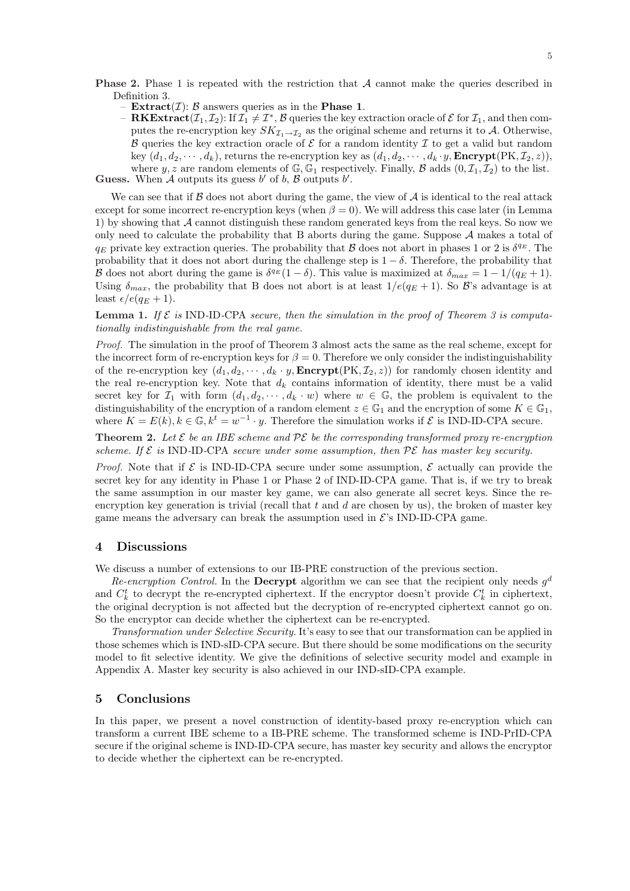- <span id="page-4-0"></span>- Extract $(\mathcal{I})$ :  $\beta$  answers queries as in the Phase 1.
- ${\bf R} {\bf K} {\bf Extract}(\mathcal{I}_1,\mathcal{I}_2)$ : If  $\mathcal{I}_1 \neq \mathcal{I}^*, \mathcal{B}$  queries the key extraction oracle of  $\mathcal E$  for  $\mathcal{I}_1$ , and then computes the re-encryption key  $SK_{\mathcal{I}_1 \to \mathcal{I}_2}$  as the original scheme and returns it to A. Otherwise, B que[rie](#page-1-0)s the key extraction oracle of  $\mathcal E$  for a random identity  $\mathcal I$  to get a valid but random key  $(d_1, d_2, \dots, d_k)$ , returns the re-encryption key as  $(d_1, d_2, \dots, d_k \cdot y, \text{Energy}(PK, \mathcal{I}_2, z)),$ where y, z are random elements of  $\mathbb{G}, \mathbb{G}_1$  respectively. Finally, B adds  $(0, \mathcal{I}_1, \mathcal{I}_2)$  to the list.

Guess. When A outputs its guess b' of b, B outputs b'.

We can see that if  $\beta$  does not abort during the game, the view of  $\mathcal A$  is identical to the real attack except for some incorrect re-encryption keys (when  $\beta = 0$ ). We will address this case later (in Lemma 1) by showing that  $A$  cannot distinguish these random generated keys from the real keys. So now we only need to calculate the probability that  $B$  aborts during the game. Suppose  $A$  makes a total of  $q_E$  private key extraction queries. The probability that  $\beta$  does not abort in phases 1 or 2 is  $\delta^{q_E}$ . The probability that it does not abort during the challenge step is  $1 - \delta$ . Therefore, the probability that B does not abort during the game is  $\delta^{q_E}(1-\delta)$ . This value is maximized at  $\delta_{max} = 1 - 1/(q_E + 1)$ . Using  $\delta_{max}$ , the probability that B does not abort is at least  $1/e(q_E + 1)$ . So B's advantage is at least  $\epsilon/e(q_E+1)$ .

#### **Lemma 1.** If  $\mathcal{E}$  is IND-ID-CPA secure, then the simulation in the proof of Theorem 3 is computationally indistinguishable from the real game.

Proof. The simulation in the proof of Theorem 3 almost acts the same as the real scheme, except for the incorrect form of re-encryption keys for  $\beta = 0$ . Therefore we only consider the indistinguishability of the re-encryption key  $(d_1, d_2, \dots, d_k \cdot y,$  **Encrypt** $(\text{PK}, \mathcal{I}_2, z)$  for randomly chose[n i](#page-6-0)dentity and the real re-encryption key. Note that  $d_k$  contains information of identity, there must be a valid secret key for  $\mathcal{I}_1$  with form  $(d_1, d_2, \dots, d_k \cdot w)$  $(d_1, d_2, \dots, d_k \cdot w)$  where  $w \in \mathbb{G}$ , the problem is equivalent to the distinguishability of the encryption of a random element  $z \in \mathbb{G}_1$  and the encryption of some  $K \in \mathbb{G}_1$ , where  $K = E(k)$ ,  $k \in \mathbb{G}$ ,  $k^t = w^{-1} \cdot y$ . Therefore the simulation works if  $\mathcal{E}$  is IND-ID-CPA secure.

**Theorem 2.** Let  $\mathcal{E}$  be an IBE scheme and  $\mathcal{P}\mathcal{E}$  be the corresponding transformed proxy re-encryption scheme. If  $\mathcal E$  is IND-ID-CPA secure under some assumption, then  $\mathcal P\mathcal E$  has master key security.

*Proof.* Note that if  $\mathcal{E}$  is IND-ID-CPA secure under some assumption,  $\mathcal{E}$  actually can provide the secret key for any identity in Phase 1 or Phase 2 of IND-ID-CPA game. That is, if we try to break the same assumption in our master key game, we can also generate all secret keys. Since the reencryption key generation is trivial (recall that  $t$  and  $d$  are chosen by us), the broken of master key game means the adversary can break the assumption used in  $\mathcal{E}$ 's IND-ID-CPA game.

#### 4 Discussions

We discuss a number of extensions to our IB-PRE construction of the previous section.

Re-encryption Control. In the Decrypt algorithm we can see that the recipient only needs  $g^d$ and  $C_k^t$  to decrypt the re-encrypted ciphertext. If the encryptor doesn't provide  $C_k^t$  in ciphertext, the original decryption is not affected but the decryption of re-encrypted ciphertext cannot go on. So the encryptor can decide whether the ciphertext can be re-encrypted.

Transformation under Selective Security. It's easy to see that our transformation can be applied in those schemes which is IND-sID-CPA secure. But there should be some modifications on the security model to fit selective identity. We give the definitions of selective security model and example in Appendix A. Master key security is also achieved in our IND-sID-CPA example.

#### 5 Conclusions

In this p[ape](#page-5-0)r, we present a novel construction of identity-based proxy re-encryption which can transform a current IBE scheme to a IB-PRE scheme. The transformed scheme is IND-PrID-CPA secure if the original scheme is IND-ID-CPA secure, has master key security and allows the encryptor to decide whether the ciphertext can be re-encrypted.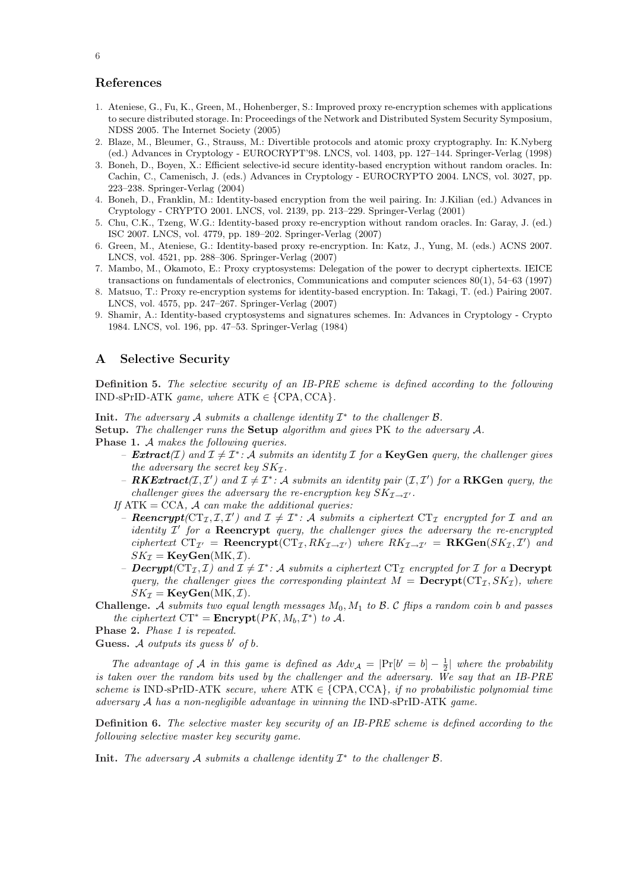## <span id="page-5-0"></span>References

- 1. Ateniese, G., Fu, K., Green, M., Hohenberger, S.: Improved proxy re-encryption schemes with applications to secure distributed storage. In: Proceedings of the Network and Distributed System Security Symposium, NDSS 2005. The Internet Society (2005)
- 2. Blaze, M., Bleumer, G., Strauss, M.: Divertible protocols and atomic proxy cryptography. In: K.Nyberg (ed.) Advances in Cryptology - EUROCRYPT'98. LNCS, vol. 1403, pp. 127–144. Springer-Verlag (1998)
- 3. Boneh, D., Boyen, X.: Efficient selective-id secure identity-based encryption without random oracles. In: Cachin, C., Camenisch, J. (eds.) Advances in Cryptology - EUROCRYPTO 2004. LNCS, vol. 3027, pp. 223–238. Springer-Verlag (2004)
- 4. Boneh, D., Franklin, M.: Identity-based encryption from the weil pairing. In: J.Kilian (ed.) Advances in Cryptology - CRYPTO 2001. LNCS, vol. 2139, pp. 213–229. Springer-Verlag (2001)
- 5. Chu, C.K., Tzeng, W.G.: Identity-based proxy re-encryption without random oracles. In: Garay, J. (ed.) ISC 2007. LNCS, vol. 4779, pp. 189–202. Springer-Verlag (2007)
- 6. Green, M., Ateniese, G.: Identity-based proxy re-encryption. In: Katz, J., Yung, M. (eds.) ACNS 2007. LNCS, vol. 4521, pp. 288–306. Springer-Verlag (2007)
- 7. Mambo, M., Okamoto, E.: Proxy cryptosystems: Delegation of the power to decrypt ciphertexts. IEICE transactions on fundamentals of electronics, Communications and computer sciences 80(1), 54–63 (1997)
- 8. Matsuo, T.: Proxy re-encryption systems for identity-based encryption. In: Takagi, T. (ed.) Pairing 2007. LNCS, vol. 4575, pp. 247–267. Springer-Verlag (2007)
- 9. Shamir, A.: Identity-based cryptosystems and signatures schemes. In: Advances in Cryptology Crypto 1984. LNCS, vol. 196, pp. 47–53. Springer-Verlag (1984)

#### A Selective Security

Definition 5. The selective security of an IB-PRE scheme is defined according to the following IND-sPrID-ATK game, where  $ATK \in \{CPA, CCA\}$ .

Init. The adversary A submits a challenge identity  $\mathcal{I}^*$  to the challenger  $\mathcal{B}$ .

Setup. The challenger runs the Setup algorithm and gives PK to the adversary A.

- Phase 1. A makes the following queries.
	- **Extract**(*I*) and  $I \neq I^*$ : A submits an identity *I* for a **KeyGen** query, the challenger gives the adversary the secret key  $SK_{\mathcal{I}}$ .
	- **RKExtract**( $I, I'$ ) and  $I \neq I^*$ : A submits an identity pair ( $I, I'$ ) for a **RKGen** query, the challenger gives the adversary the re-encryption key  $SK_{\mathcal{I}\rightarrow\mathcal{I}'}$ .

If  $ATK = CCA$ , A can make the additional queries:

- **Reencrypt** ( $CT_{\mathcal{I}}, \mathcal{I}, \mathcal{I}'$ ) and  $\mathcal{I} \neq \mathcal{I}^*$ : A submits a ciphertext  $CT_{\mathcal{I}}$  encrypted for  $\mathcal{I}$  and an identity  $\mathcal{I}'$  for a **Reencrypt** query, the challenger gives the adversary the re-encrypted ciphertext  $CT_{\mathcal{I}'} =$  **Reencrypt**( $CT_{\mathcal{I}}, RK_{\mathcal{I}\to\mathcal{I}'})$  where  $RK_{\mathcal{I}\to\mathcal{I}'} =$  **RKGen**( $SK_{\mathcal{I}},\mathcal{I}'$ ) and  $SK_{\mathcal{I}} = \textbf{KeyGen}(MK, \mathcal{I}).$
- Decrypt( $CT_{\mathcal{I}}, \mathcal{I}$ ) and  $\mathcal{I} \neq \mathcal{I}^*$ : A submits a ciphertext  $CT_{\mathcal{I}}$  encrypted for  $\mathcal{I}$  for a Decrypt query, the challenger gives the corresponding plaintext  $M = \text{Decrypt}(CT_{\mathcal{I}}, SK_{\mathcal{I}})$ , where  $SK_{\mathcal{I}} = \textbf{KeyGen}(MK, \mathcal{I}).$
- **Challenge.** A submits two equal length messages  $M_0$ ,  $M_1$  to B. C flips a random coin b and passes the ciphertext  $CT^* =$ **Encrypt** $(PK, M_b, \mathcal{I}^*)$  to A.

Phase 2. Phase 1 is repeated.

Guess. A outputs its guess  $b'$  of  $b$ .

The advantage of A in this game is defined as  $Adv_{\mathcal{A}} = |\Pr[b' = b] - \frac{1}{2}|$  where the probability is taken over the random bits used by the challenger and the adversary. We say that an IB-PRE scheme is IND-sPrID-ATK secure, where ATK  $\in \{CPA, CCA\}$ , if no probabilistic polynomial time adversary A has a non-negligible advantage in winning the IND-sPrID-ATK game.

Definition 6. The selective master key security of an IB-PRE scheme is defined according to the following selective master key security game.

Init. The adversary A submits a challenge identity  $\mathcal{I}^*$  to the challenger  $\mathcal{B}$ .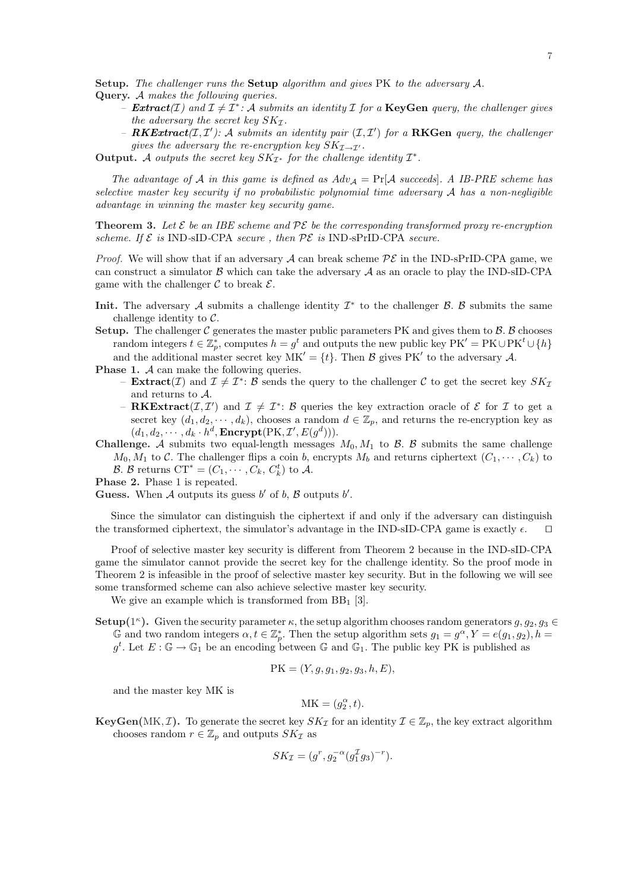<span id="page-6-0"></span>Setup. The challenger runs the Setup algorithm and gives PK to the adversary A.

- Query. A makes the following queries.
	- **Extract**(*I*) and  $\mathcal{I} \neq \mathcal{I}^*$ : A submits an identity *I* for a **KeyGen** query, the challenger gives the adversary the secret key  $SK_{\mathcal{I}}$ .
	- **RKExtract**( $I, I'$ ): A submits an identity pair ( $I, I'$ ) for a **RKGen** query, the challenger gives the adversary the re-encryption key  $SK_{\mathcal{I}\rightarrow\mathcal{I}'}$ .
- Output. A outputs the secret key  $SK_{\mathcal{I}^*}$  for the challenge identity  $\mathcal{I}^*$ .

The advantage of A in this game is defined as  $Adv_{\mathcal{A}} = \Pr[\mathcal{A} \text{ succeeds}]$ . A IB-PRE scheme has selective master key security if no probabilistic polynomial time adversary A has a non-negligible advantage in winning the master key security game.

**Theorem 3.** Let  $\mathcal{E}$  be an IBE scheme and  $\mathcal{P}\mathcal{E}$  be the corresponding transformed proxy re-encryption scheme. If  $\mathcal E$  is IND-sID-CPA secure, then  $\mathcal {PE}$  is IND-sPrID-CPA secure.

*Proof.* We will show that if an adversary A can break scheme  $\mathcal{PE}$  in the IND-sPrID-CPA game, we can construct a simulator  $\beta$  which can take the adversary  $\mathcal A$  as an oracle to play the IND-sID-CPA game with the challenger  $\mathcal C$  to break  $\mathcal E$ .

- Init. The adversary A submits a challenge identity  $\mathcal{I}^*$  to the challenger  $\mathcal{B}$ .  $\mathcal{B}$  submits the same challenge identity to  $\mathcal{C}$ .
- **Setup.** The challenger C generates the master public parameters PK and gives them to  $\beta$ .  $\beta$  chooses random integers  $t \in \mathbb{Z}_p^*$ , computes  $h = g^t$  and outputs the new public key  $\mathrm{PK'} = \mathrm{PK} \cup \mathrm{PK}^t \cup \{h\}$ and the additional master secret key  $MK' = \{t\}$ . Then B gives PK' to the adversary A.
- **Phase 1.** A can make the following queries.
	- **Extract**(*I*) and  $\mathcal{I} \neq \mathcal{I}^*$ : *B* sends the query to the challenger *C* to get the secret key  $SK_{\mathcal{I}}$ and returns to A.
	- **RKExtract** $(I, I')$  and  $I \neq I^*$ : B queries the key extraction oracle of E for I to get a secret key  $(d_1, d_2, \dots, d_k)$ , chooses a random  $d \in \mathbb{Z}_p$ , and returns the re-encryption key as  $(d_1, d_2, \cdots, d_k \cdot h^d, \textbf{Encrypt}(\text{PK}, \mathcal{I}', E(g^d))).$
- Challenge. A submits two equal-length messages  $M_0, M_1$  to B. B submits the same challenge  $M_0, M_1$  to C. The challenger flips a coin b, encrypts  $M_b$  and returns ciphertext  $(C_1, \dots, C_k)$  to B. B returns  $CT^* = (C_1, \cdots, C_k, C_k^t)$  to A.
- Phase 2. Phase 1 is repeated.

Guess. When A outputs its guess  $b'$  of  $b$ ,  $\beta$  outputs  $b'$ .

Since the simulator can distinguish the ciphertext if and only if the adversary can distinguish the transformed ciphertext, the simulator's advantage in the IND-sID-CPA game is exactly  $\epsilon$ .  $\Box$ 

Proof of selective master key security is different from Theorem 2 because in the IND-sID-CPA game the simulator cannot provide the secret key for the challenge identity. So the proof mode in Theorem 2 is infeasible in the proof of selective master key security. But in the following we will see some transformed scheme can also achieve selective master key security.

We give an example which is transformed from  $BB<sub>1</sub>$  [3].

**Setup**(1<sup>*k*</sup>). Given the security parameter  $\kappa$ , the setup algorithm chooses random generators  $g, g_2, g_3 \in$ G an[d t](#page-4-0)wo random integers  $\alpha, t \in \mathbb{Z}_p^*$ . Then the setup algorithm sets  $g_1 = g^{\alpha}, Y = e(g_1, g_2), h =$  $g^t$ . Let  $E: \mathbb{G} \to \mathbb{G}_1$  $E: \mathbb{G} \to \mathbb{G}_1$  be an encoding between  $\mathbb{G}$  and  $\mathbb{G}_1$ . The public key PK is published as

$$
PK = (Y, g, g_1, g_2, g_3, h, E),
$$

and the master key MK is

$$
\mathbf{MK} = (g_2^{\alpha}, t).
$$

**KeyGen**(MK, **T**). To generate the secret key  $SK_{\mathcal{I}}$  for an identity  $\mathcal{I} \in \mathbb{Z}_p$ , the key extract algorithm chooses random  $r \in \mathbb{Z}_p$  and outputs  $SK_{\mathcal{I}}$  as

$$
SK_{\mathcal{I}} = (g^r, g_2^{-\alpha}(g_1^{\mathcal{I}}g_3)^{-r}).
$$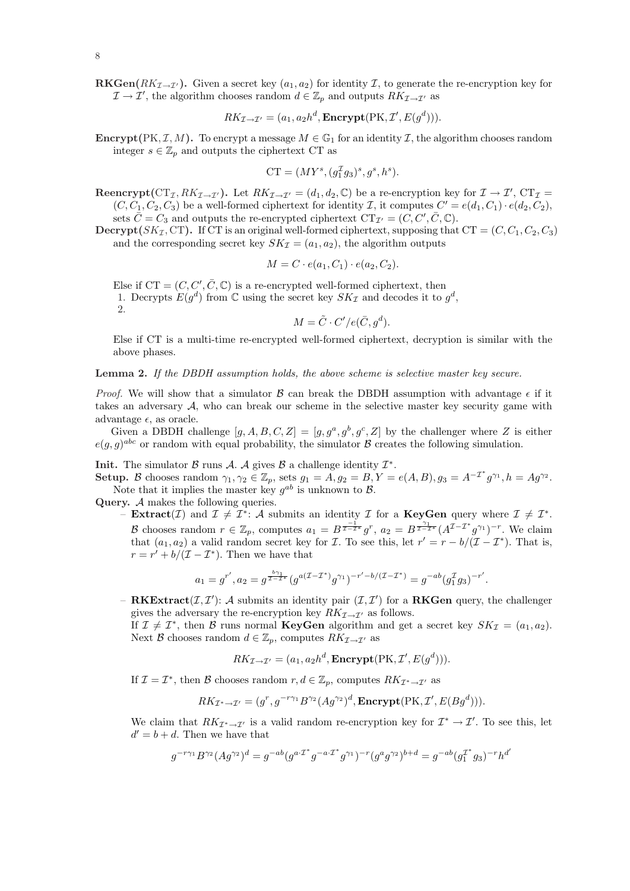- 8
- **RKGen**( $RK_{\mathcal{I}\rightarrow\mathcal{I}}$ ). Given a secret key ( $a_1, a_2$ ) for identity I, to generate the re-encryption key for  $\mathcal{I} \to \mathcal{I}'$ , the algorithm chooses random  $d \in \mathbb{Z}_p$  and outputs  $RK_{\mathcal{I} \to \mathcal{I}'}$  as

$$
RK_{\mathcal{I}\rightarrow\mathcal{I}'}=(a_1,a_2h^d,\mathbf{Encrypt}(\text{PK},\mathcal{I}',E(g^d))).
$$

**Encrypt**(PK, I, M). To encrypt a message  $M \in \mathbb{G}_1$  for an identity I, the algorithm chooses random integer  $s \in \mathbb{Z}_p$  and outputs the ciphertext CT as

$$
CT = (MY^{s}, (g_1^{\mathcal{I}}g_3)^{s}, g^{s}, h^{s}).
$$

**Reencrypt**( $CT_{\mathcal{I}}, RK_{\mathcal{I}\to\mathcal{I}}$ ). Let  $RK_{\mathcal{I}\to\mathcal{I}'}=(d_1,d_2,\mathbb{C})$  be a re-encryption key for  $\mathcal{I}\to\mathcal{I}'$ ,  $CT_{\mathcal{I}}=$  $(C, C_1, C_2, C_3)$  be a well-formed ciphertext for identity *I*, it computes  $C' = e(d_1, C_1) \cdot e(d_2, C_2)$ , sets  $\overline{C} = C_3$  and outputs the re-encrypted ciphertext  $CT_{\mathcal{I}'} = (C, C', \overline{C}, \mathbb{C}).$ 

**Decrypt**( $SK_{\mathcal{I}}$ , CT). If CT is an original well-formed ciphertext, supposing that CT =  $(C, C_1, C_2, C_3)$ and the corresponding secret key  $SK_{\mathcal{I}} = (a_1, a_2)$ , the algorithm outputs

$$
M = C \cdot e(a_1, C_1) \cdot e(a_2, C_2).
$$

Else if  $CT = (C, C', \overline{C}, \mathbb{C})$  is a re-encrypted well-formed ciphertext, then 1. Decrypts  $E(g^d)$  from  $\mathbb C$  using the secret key  $SK_{\mathcal{I}}$  and decodes it to  $g^d$ , 2.

$$
M = \tilde{C} \cdot C'/e(\bar{C}, g^d).
$$

Else if CT is a multi-time re-encrypted well-formed ciphertext, decryption is similar with the above phases.

Lemma 2. If the DBDH assumption holds, the above scheme is selective master key secure.

*Proof.* We will show that a simulator  $\beta$  can break the DBDH assumption with advantage  $\epsilon$  if it takes an adversary A, who can break our scheme in the selective master key security game with advantage  $\epsilon$ , as oracle.

Given a DBDH challenge  $[g, A, B, C, Z] = [g, g^a, g^b, g^c, Z]$  by the challenger where Z is either  $e(g, g)^{abc}$  or random with equal probability, the simulator  $\beta$  creates the following simulation.

**Init.** The simulator  $\beta$  runs  $\mathcal{A}$ .  $\mathcal{A}$  gives  $\beta$  a challenge identity  $\mathcal{I}^*$ .

Setup. B chooses random  $\gamma_1, \gamma_2 \in \mathbb{Z}_p$ , sets  $g_1 = \overrightarrow{A}, g_2 = \overrightarrow{B}, Y = e(A, B), g_3 = A^{-1} g^* g_1$ ,  $h = A g^* g_2$ . Note that it implies the master key  $g^{ab}$  is unknown to  $\mathcal{B}$ .

Query. A makes the following queries.

- Extract(*I*) and  $\mathcal{I} \neq \mathcal{I}^*$ : A submits an identity *I* for a KeyGen query where  $\mathcal{I} \neq \mathcal{I}^*$ . B chooses random  $r \in \mathbb{Z}_p$ , computes  $a_1 = B^{\frac{-1}{\mathcal{I}-\mathcal{I}^*}} g^r$ ,  $a_2 = B^{\frac{\gamma_1}{\mathcal{I}-\mathcal{I}^*}} (A^{\mathcal{I}-\mathcal{I}^*} g^{\gamma_1})^{-r}$ . We claim that  $(a_1, a_2)$  a valid random secret key for *I*. To see this, let  $r' = r - b/(\mathcal{I} - \mathcal{I}^*)$ . That is,  $r = r' + b/(\mathcal{I} - \mathcal{I}^*)$ . Then we have that

$$
a_1 = g^{r'}, a_2 = g^{\frac{b\gamma_1}{\mathcal{I} - \mathcal{I}^*}} (g^{a(\mathcal{I} - \mathcal{I}^*)} g^{\gamma_1})^{-r' - b/(\mathcal{I} - \mathcal{I}^*)} = g^{-ab} (g_1^{\mathcal{I}} g_3)^{-r'}.
$$

- RKExtract $(\mathcal{I}, \mathcal{I}')$ : A submits an identity pair  $(\mathcal{I}, \mathcal{I}')$  for a RKGen query, the challenger gives the adversary the re-encryption key  $RK_{\mathcal{I}\rightarrow\mathcal{I}'}$  as follows.

If  $\mathcal{I} \neq \mathcal{I}^*$ , then  $\mathcal{B}$  runs normal **KeyGen** algorithm and get a secret key  $SK_{\mathcal{I}} = (a_1, a_2)$ . Next B chooses random  $d \in \mathbb{Z}_p$ , computes  $RK_{\mathcal{I} \to \mathcal{I}'}$  as

$$
RK_{\mathcal{I}\rightarrow\mathcal{I}'}=(a_1,a_2h^d,\mathbf{Encrypt}(\text{PK},\mathcal{I}',E(g^d))).
$$

If  $\mathcal{I} = \mathcal{I}^*$ , then  $\mathcal{B}$  chooses random  $r, d \in \mathbb{Z}_p$ , computes  $RK_{\mathcal{I}^* \to \mathcal{I}'}$  as

$$
RK_{\mathcal{I}^* \to \mathcal{I}'} = (g^r, g^{-r\gamma_1} B^{\gamma_2} (Ag^{\gamma_2})^d, \mathbf{Encrypt}(\text{PK}, \mathcal{I}', E(Bg^d))).
$$

We claim that  $RK_{\mathcal{I}^*\to\mathcal{I}'}$  is a valid random re-encryption key for  $\mathcal{I}^*\to\mathcal{I}'$ . To see this, let  $d' = b + d$ . Then we have that

$$
g^{-r\gamma_1}B^{\gamma_2}(Ag^{\gamma_2})^d = g^{-ab}(g^{a\cdot x^*}g^{-a\cdot x^*}g^{\gamma_1})^{-r}(g^ag^{\gamma_2})^{b+d} = g^{-ab}(g_1^{x^*}g_3)^{-r}h^{d'}
$$